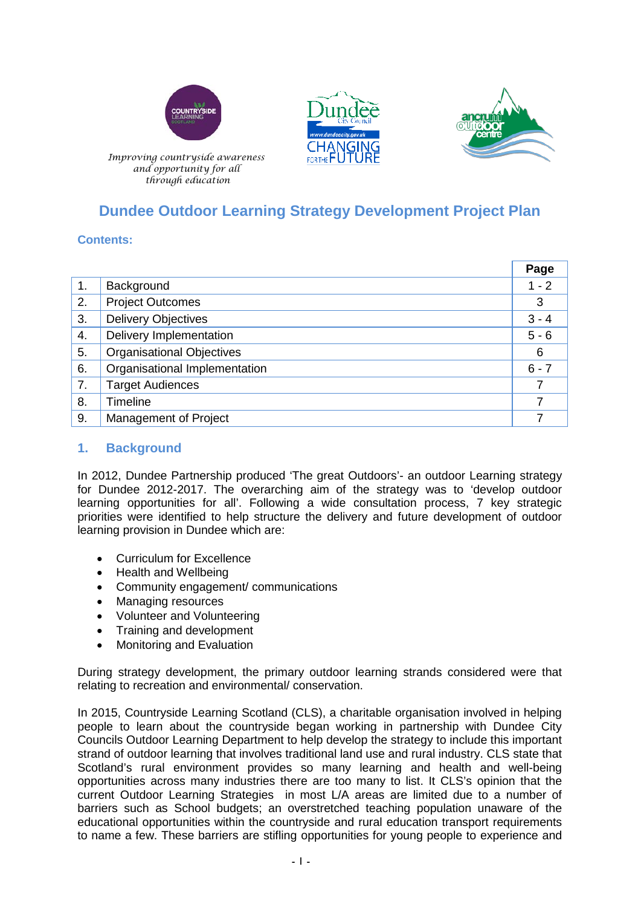





 *Improving countryside awareness and opportunity for all through education*

# **Dundee Outdoor Learning Strategy Development Project Plan**

# **Contents:**

|                |                                  | Page    |
|----------------|----------------------------------|---------|
| $\mathbf{1}$ . | Background                       | $1 - 2$ |
| 2.             | <b>Project Outcomes</b>          | 3       |
| 3.             | <b>Delivery Objectives</b>       | $3 - 4$ |
| 4.             | Delivery Implementation          | $5 - 6$ |
| 5.             | <b>Organisational Objectives</b> | 6       |
| 6.             | Organisational Implementation    | $6 - 7$ |
| 7.             | <b>Target Audiences</b>          |         |
| 8.             | <b>Timeline</b>                  | 7       |
| 9.             | Management of Project            |         |

# **1. Background**

In 2012, Dundee Partnership produced 'The great Outdoors'- an outdoor Learning strategy for Dundee 2012-2017. The overarching aim of the strategy was to 'develop outdoor learning opportunities for all'. Following a wide consultation process, 7 key strategic priorities were identified to help structure the delivery and future development of outdoor learning provision in Dundee which are:

- Curriculum for Excellence
- Health and Wellbeing
- Community engagement/ communications
- Managing resources
- Volunteer and Volunteering
- Training and development
- Monitoring and Evaluation

During strategy development, the primary outdoor learning strands considered were that relating to recreation and environmental/ conservation.

In 2015, Countryside Learning Scotland (CLS), a charitable organisation involved in helping people to learn about the countryside began working in partnership with Dundee City Councils Outdoor Learning Department to help develop the strategy to include this important strand of outdoor learning that involves traditional land use and rural industry. CLS state that Scotland's rural environment provides so many learning and health and well-being opportunities across many industries there are too many to list. It CLS's opinion that the current Outdoor Learning Strategies in most L/A areas are limited due to a number of barriers such as School budgets; an overstretched teaching population unaware of the educational opportunities within the countryside and rural education transport requirements to name a few. These barriers are stifling opportunities for young people to experience and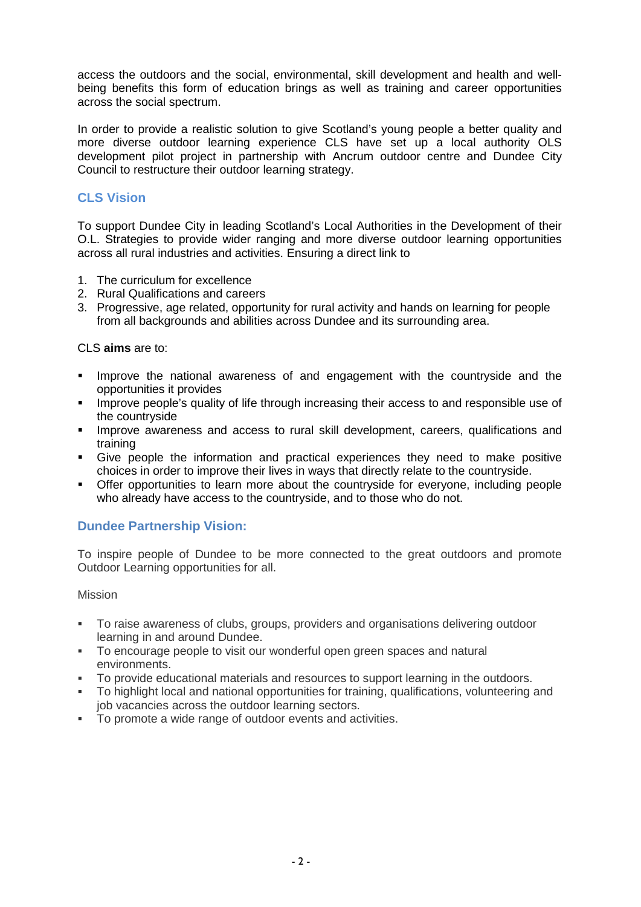access the outdoors and the social, environmental, skill development and health and wellbeing benefits this form of education brings as well as training and career opportunities across the social spectrum.

In order to provide a realistic solution to give Scotland's young people a better quality and more diverse outdoor learning experience CLS have set up a local authority OLS development pilot project in partnership with Ancrum outdoor centre and Dundee City Council to restructure their outdoor learning strategy.

# **CLS Vision**

To support Dundee City in leading Scotland's Local Authorities in the Development of their O.L. Strategies to provide wider ranging and more diverse outdoor learning opportunities across all rural industries and activities. Ensuring a direct link to

- 1. The curriculum for excellence
- 2. Rural Qualifications and careers
- 3. Progressive, age related, opportunity for rural activity and hands on learning for people from all backgrounds and abilities across Dundee and its surrounding area.

CLS **aims** are to:

- **IMPROVE the national awareness of and engagement with the countryside and the** opportunities it provides
- **IMPROVE 2009 THEODE**'s quality of life through increasing their access to and responsible use of the countryside
- **IMPROVE AWARENESS and access to rural skill development, careers, qualifications and** training
- Give people the information and practical experiences they need to make positive choices in order to improve their lives in ways that directly relate to the countryside.
- Offer opportunities to learn more about the countryside for everyone, including people who already have access to the countryside, and to those who do not.

### **Dundee Partnership Vision:**

To inspire people of Dundee to be more connected to the great outdoors and promote Outdoor Learning opportunities for all.

#### Mission

- To raise awareness of clubs, groups, providers and organisations delivering outdoor learning in and around Dundee.
- To encourage people to visit our wonderful open green spaces and natural environments.
- To provide educational materials and resources to support learning in the outdoors.
- To highlight local and national opportunities for training, qualifications, volunteering and job vacancies across the outdoor learning sectors.
- To promote a wide range of outdoor events and activities.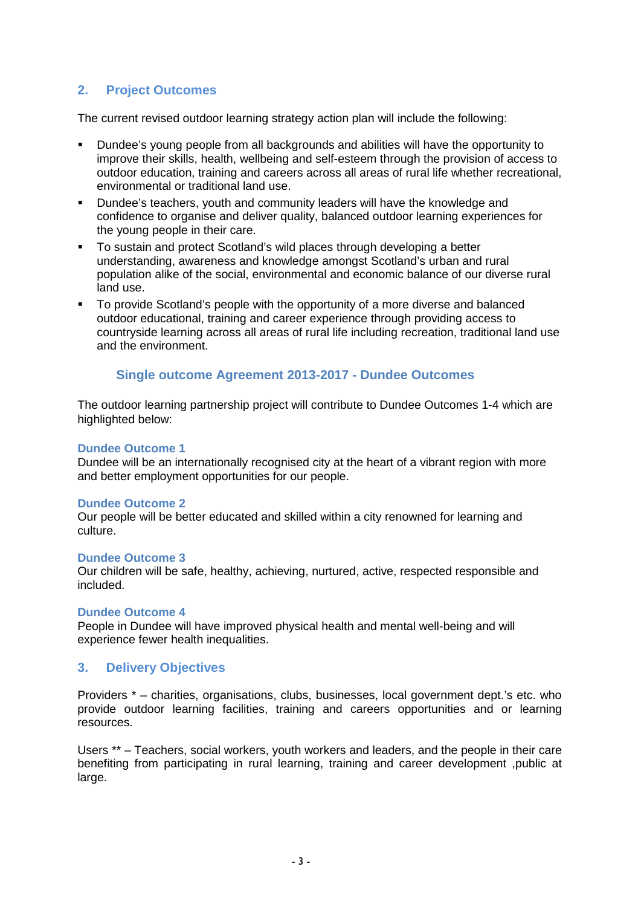# **2. Project Outcomes**

The current revised outdoor learning strategy action plan will include the following:

- Dundee's young people from all backgrounds and abilities will have the opportunity to improve their skills, health, wellbeing and self-esteem through the provision of access to outdoor education, training and careers across all areas of rural life whether recreational, environmental or traditional land use.
- Dundee's teachers, youth and community leaders will have the knowledge and confidence to organise and deliver quality, balanced outdoor learning experiences for the young people in their care.
- To sustain and protect Scotland's wild places through developing a better understanding, awareness and knowledge amongst Scotland's urban and rural population alike of the social, environmental and economic balance of our diverse rural land use.
- To provide Scotland's people with the opportunity of a more diverse and balanced outdoor educational, training and career experience through providing access to countryside learning across all areas of rural life including recreation, traditional land use and the environment.

### **Single outcome Agreement 2013-2017 - Dundee Outcomes**

The outdoor learning partnership project will contribute to Dundee Outcomes 1-4 which are highlighted below:

#### **Dundee Outcome 1**

Dundee will be an internationally recognised city at the heart of a vibrant region with more and better employment opportunities for our people.

#### **Dundee Outcome 2**

Our people will be better educated and skilled within a city renowned for learning and culture.

### **Dundee Outcome 3**

Our children will be safe, healthy, achieving, nurtured, active, respected responsible and included.

#### **Dundee Outcome 4**

People in Dundee will have improved physical health and mental well-being and will experience fewer health inequalities.

### **3. Delivery Objectives**

Providers \* – charities, organisations, clubs, businesses, local government dept.'s etc. who provide outdoor learning facilities, training and careers opportunities and or learning resources.

Users \*\* – Teachers, social workers, youth workers and leaders, and the people in their care benefiting from participating in rural learning, training and career development ,public at large.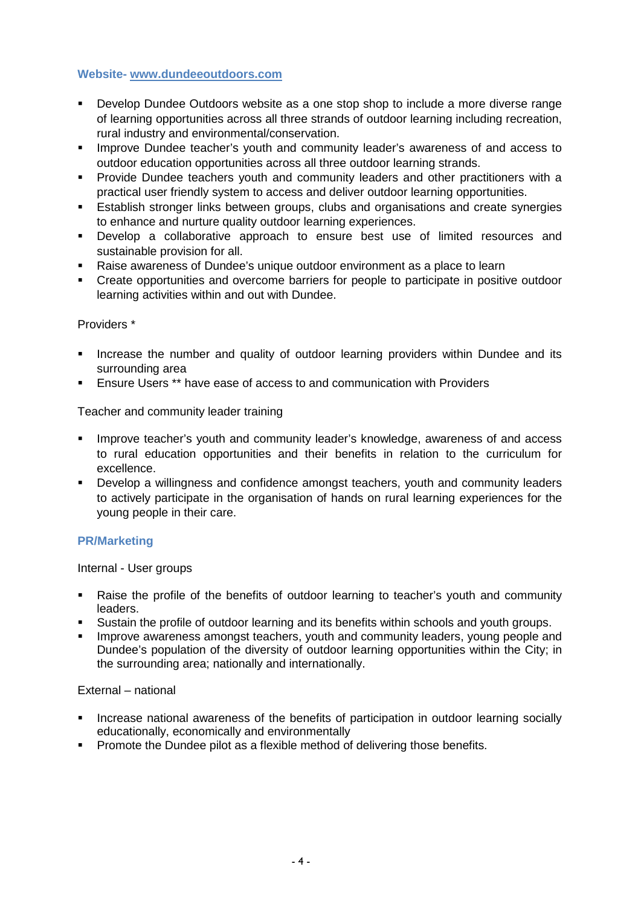### **Website- [www.dundeeoutdoors.com](http://www.dundeeoutdoors.com/)**

- Develop Dundee Outdoors website as a one stop shop to include a more diverse range of learning opportunities across all three strands of outdoor learning including recreation, rural industry and environmental/conservation.
- **IMPROVE Dundee teacher's youth and community leader's awareness of and access to** outdoor education opportunities across all three outdoor learning strands.
- Provide Dundee teachers youth and community leaders and other practitioners with a practical user friendly system to access and deliver outdoor learning opportunities.
- **Establish stronger links between groups, clubs and organisations and create synergies** to enhance and nurture quality outdoor learning experiences.
- Develop a collaborative approach to ensure best use of limited resources and sustainable provision for all.
- Raise awareness of Dundee's unique outdoor environment as a place to learn
- Create opportunities and overcome barriers for people to participate in positive outdoor learning activities within and out with Dundee.

#### Providers \*

- **Increase the number and quality of outdoor learning providers within Dundee and its** surrounding area
- Ensure Users \*\* have ease of access to and communication with Providers

Teacher and community leader training

- **IMPROVE teacher's youth and community leader's knowledge, awareness of and access** to rural education opportunities and their benefits in relation to the curriculum for excellence.
- Develop a willingness and confidence amongst teachers, youth and community leaders to actively participate in the organisation of hands on rural learning experiences for the young people in their care.

### **PR/Marketing**

Internal - User groups

- Raise the profile of the benefits of outdoor learning to teacher's youth and community leaders.
- Sustain the profile of outdoor learning and its benefits within schools and youth groups.
- **IMPROVE AWARENESS AMONGST TEACHERS, youth and community leaders, young people and** Dundee's population of the diversity of outdoor learning opportunities within the City; in the surrounding area; nationally and internationally.

#### External – national

- Increase national awareness of the benefits of participation in outdoor learning socially educationally, economically and environmentally
- **Promote the Dundee pilot as a flexible method of delivering those benefits.**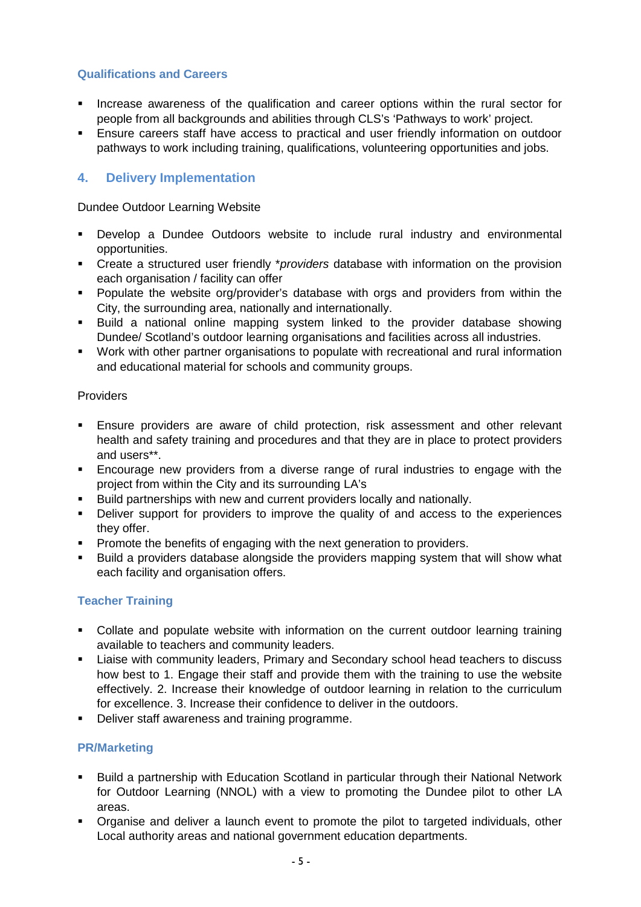### **Qualifications and Careers**

- **Increase awareness of the qualification and career options within the rural sector for** people from all backgrounds and abilities through CLS's 'Pathways to work' project.
- Ensure careers staff have access to practical and user friendly information on outdoor pathways to work including training, qualifications, volunteering opportunities and jobs.

# **4. Delivery Implementation**

Dundee Outdoor Learning Website

- Develop a Dundee Outdoors website to include rural industry and environmental opportunities.
- Create a structured user friendly \**providers* database with information on the provision each organisation / facility can offer
- **Populate the website org/provider's database with orgs and providers from within the** City, the surrounding area, nationally and internationally.
- Build a national online mapping system linked to the provider database showing Dundee/ Scotland's outdoor learning organisations and facilities across all industries.
- Work with other partner organisations to populate with recreational and rural information and educational material for schools and community groups.

### **Providers**

- Ensure providers are aware of child protection, risk assessment and other relevant health and safety training and procedures and that they are in place to protect providers and users\*\*.
- Encourage new providers from a diverse range of rural industries to engage with the project from within the City and its surrounding LA's
- Build partnerships with new and current providers locally and nationally.
- **•** Deliver support for providers to improve the quality of and access to the experiences they offer.
- **Promote the benefits of engaging with the next generation to providers.**
- **Build a providers database alongside the providers mapping system that will show what** each facility and organisation offers.

# **Teacher Training**

- Collate and populate website with information on the current outdoor learning training available to teachers and community leaders.
- Liaise with community leaders, Primary and Secondary school head teachers to discuss how best to 1. Engage their staff and provide them with the training to use the website effectively. 2. Increase their knowledge of outdoor learning in relation to the curriculum for excellence. 3. Increase their confidence to deliver in the outdoors.
- Deliver staff awareness and training programme.

### **PR/Marketing**

- Build a partnership with Education Scotland in particular through their National Network for Outdoor Learning (NNOL) with a view to promoting the Dundee pilot to other LA areas.
- **•** Organise and deliver a launch event to promote the pilot to targeted individuals, other Local authority areas and national government education departments.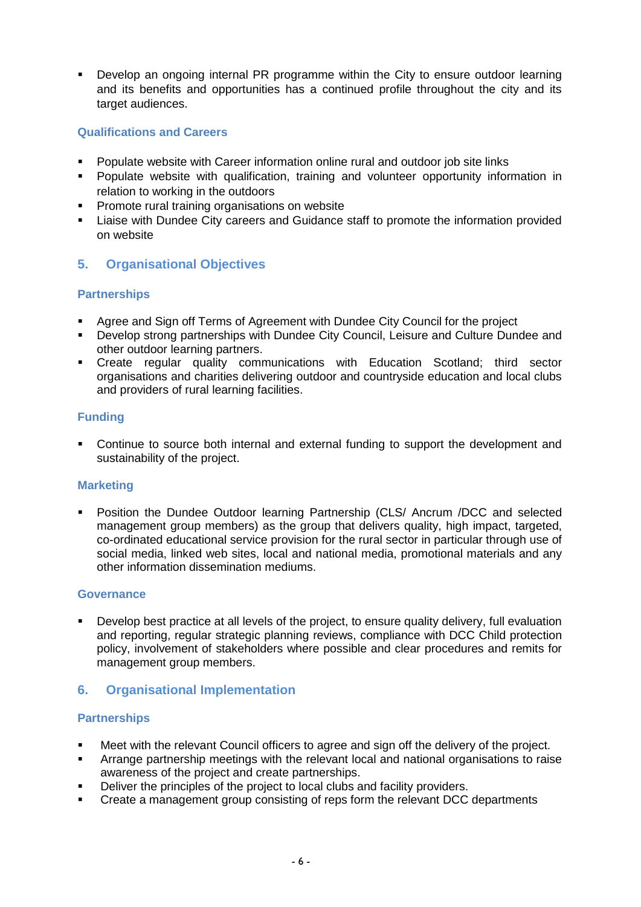Develop an ongoing internal PR programme within the City to ensure outdoor learning and its benefits and opportunities has a continued profile throughout the city and its target audiences.

### **Qualifications and Careers**

- Populate website with Career information online rural and outdoor job site links
- Populate website with qualification, training and volunteer opportunity information in relation to working in the outdoors
- **Promote rural training organisations on website**
- Liaise with Dundee City careers and Guidance staff to promote the information provided on website

### **5. Organisational Objectives**

### **Partnerships**

- Agree and Sign off Terms of Agreement with Dundee City Council for the project
- Develop strong partnerships with Dundee City Council, Leisure and Culture Dundee and other outdoor learning partners.
- Create regular quality communications with Education Scotland; third sector organisations and charities delivering outdoor and countryside education and local clubs and providers of rural learning facilities.

### **Funding**

 Continue to source both internal and external funding to support the development and sustainability of the project.

### **Marketing**

**•** Position the Dundee Outdoor learning Partnership (CLS/ Ancrum /DCC and selected management group members) as the group that delivers quality, high impact, targeted, co-ordinated educational service provision for the rural sector in particular through use of social media, linked web sites, local and national media, promotional materials and any other information dissemination mediums.

### **Governance**

 Develop best practice at all levels of the project, to ensure quality delivery, full evaluation and reporting, regular strategic planning reviews, compliance with DCC Child protection policy, involvement of stakeholders where possible and clear procedures and remits for management group members.

### **6. Organisational Implementation**

#### **Partnerships**

- Meet with the relevant Council officers to agree and sign off the delivery of the project.
- Arrange partnership meetings with the relevant local and national organisations to raise awareness of the project and create partnerships.
- Deliver the principles of the project to local clubs and facility providers.
- Create a management group consisting of reps form the relevant DCC departments